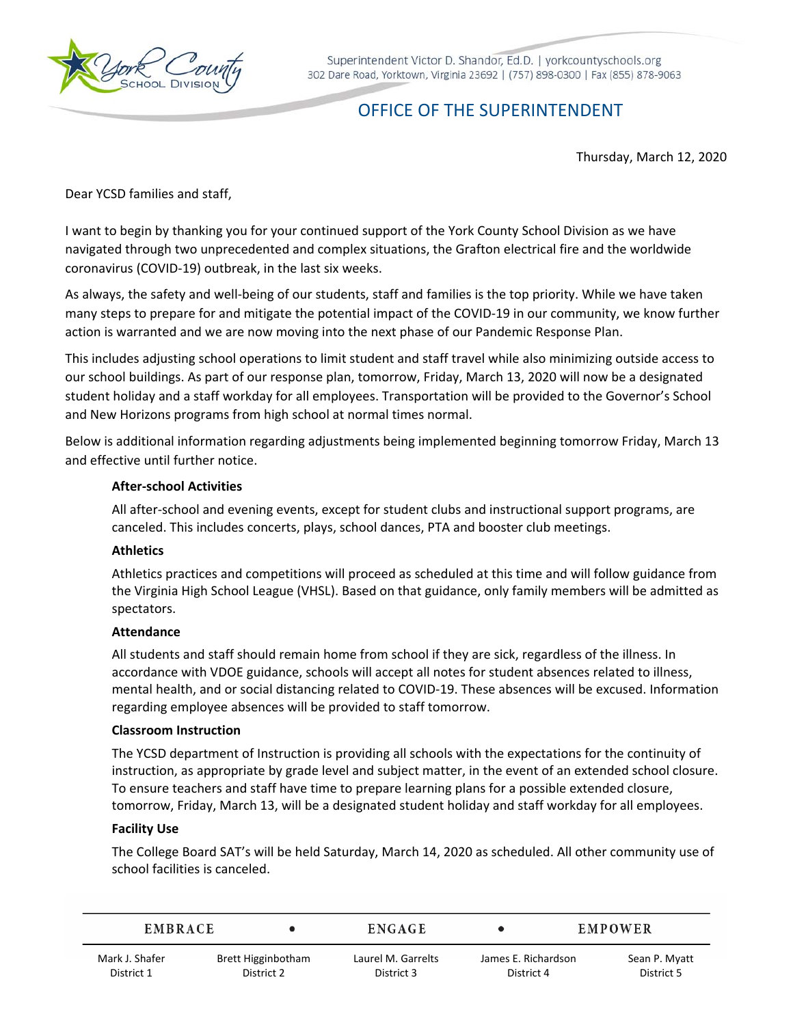

Superintendent Victor D. Shandor, Ed.D. | yorkcountyschools.org 302 Dare Road, Yorktown, Virginia 23692 | (757) 898-0300 | Fax (855) 878-9063

# OFFICE OF THE SUPERINTENDENT

Thursday, March 12, 2020

Dear YCSD families and staff,

I want to begin by thanking you for your continued support of the York County School Division as we have navigated through two unprecedented and complex situations, the Grafton electrical fire and the worldwide coronavirus (COVID‐19) outbreak, in the last six weeks.

 As always, the safety and well‐being of our students, staff and families is the top priority. While we have taken many steps to prepare for and mitigate the potential impact of the COVID‐19 in our community, we know further action is warranted and we are now moving into the next phase of our Pandemic Response Plan.

This includes adjusting school operations to limit student and staff travel while also minimizing outside access to our school buildings. As part of our response plan, tomorrow, Friday, March 13, 2020 will now be a designated student holiday and a staff workday for all employees. Transportation will be provided to the Governor's School and New Horizons programs from high school at normal times normal.

Below is additional information regarding adjustments being implemented beginning tomorrow Friday, March 13 and effective until further notice.

## **After‐school Activities**

All after‐school and evening events, except for student clubs and instructional support programs, are canceled. This includes concerts, plays, school dances, PTA and booster club meetings.

## **Athletics**

 the Virginia High School League (VHSL). Based on that guidance, only family members will be admitted as Athletics practices and competitions will proceed as scheduled at this time and will follow guidance from spectators.

## **Attendance**

 regarding employee absences will be provided to staff tomorrow. All students and staff should remain home from school if they are sick, regardless of the illness. In accordance with VDOE guidance, schools will accept all notes for student absences related to illness, mental health, and or social distancing related to COVID‐19. These absences will be excused. Information

## **Classroom Instruction**

The YCSD department of Instruction is providing all schools with the expectations for the continuity of instruction, as appropriate by grade level and subject matter, in the event of an extended school closure. To ensure teachers and staff have time to prepare learning plans for a possible extended closure, tomorrow, Friday, March 13, will be a designated student holiday and staff workday for all employees.

#### **Facility Use**

The College Board SAT's will be held Saturday, March 14, 2020 as scheduled. All other community use of school facilities is canceled.

| <b>EMBRACE</b> |                    | <b>ENGAGE</b>      |                     | EMPOWER |               |
|----------------|--------------------|--------------------|---------------------|---------|---------------|
| Mark J. Shafer | Brett Higginbotham | Laurel M. Garrelts | James E. Richardson |         | Sean P. Myatt |
| District 1     | District 2         | District 3         | District 4          |         | District 5    |